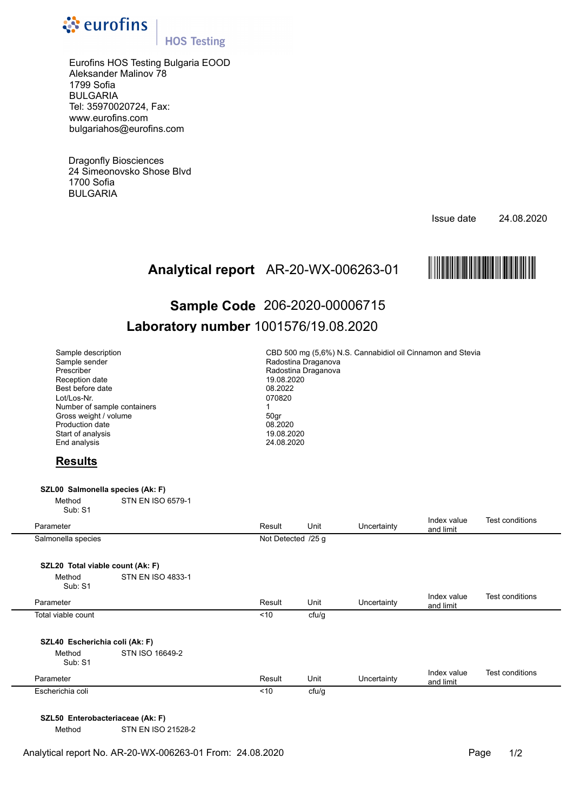

## **HOS Testing**

Eurofins HOS Testing Bulgaria EOOD Aleksander Malinov 78 1799 Sofia BULGARIA Tel: 35970020724, Fax: www.eurofins.com bulgariahos@eurofins.com

Dragonfly Biosciences 24 Simeonovsko Shose Blvd 1700 Sofia BULGARIA

Issue date 24.08.2020



# AR-20-WX-006263-01 МAR-20-WX-ЗВ^\_И-01hО **Analytical report Sample Code** 206-2020-00006715 **Laboratory number** 1001576/19.08.2020

| Sample description<br>Sample sender<br>Prescriber<br>Reception date<br>Best before date<br>Lot/Los-Nr.<br>Number of sample containers<br>Gross weight / volume<br>Production date<br>Start of analysis<br>End analysis |                          | CBD 500 mg (5,6%) N.S. Cannabidiol oil Cinnamon and Stevia<br>Radostina Draganova<br>Radostina Draganova<br>19.08.2020<br>08.2022<br>070820<br>$\mathbf{1}$<br>50gr<br>08.2020<br>19.08.2020<br>24.08.2020 |       |             |                          |                        |  |  |
|------------------------------------------------------------------------------------------------------------------------------------------------------------------------------------------------------------------------|--------------------------|------------------------------------------------------------------------------------------------------------------------------------------------------------------------------------------------------------|-------|-------------|--------------------------|------------------------|--|--|
| <b>Results</b>                                                                                                                                                                                                         |                          |                                                                                                                                                                                                            |       |             |                          |                        |  |  |
| SZL00 Salmonella species (Ak: F)<br>Method<br>Sub: S1                                                                                                                                                                  | STN EN ISO 6579-1        |                                                                                                                                                                                                            |       |             |                          |                        |  |  |
| Parameter                                                                                                                                                                                                              |                          | Result                                                                                                                                                                                                     | Unit  | Uncertainty | Index value<br>and limit | <b>Test conditions</b> |  |  |
| Salmonella species                                                                                                                                                                                                     |                          | Not Detected /25 g                                                                                                                                                                                         |       |             |                          |                        |  |  |
| SZL20 Total viable count (Ak: F)                                                                                                                                                                                       |                          |                                                                                                                                                                                                            |       |             |                          |                        |  |  |
| Method<br>Sub: S1                                                                                                                                                                                                      | <b>STN EN ISO 4833-1</b> |                                                                                                                                                                                                            |       |             |                          |                        |  |  |
| Parameter                                                                                                                                                                                                              |                          | Result                                                                                                                                                                                                     | Unit  | Uncertainty | Index value<br>and limit | Test conditions        |  |  |
| Total viable count                                                                                                                                                                                                     |                          | < 10                                                                                                                                                                                                       | cfu/g |             |                          |                        |  |  |
|                                                                                                                                                                                                                        |                          |                                                                                                                                                                                                            |       |             |                          |                        |  |  |
| SZL40 Escherichia coli (Ak: F)<br>Method<br>Sub: S1                                                                                                                                                                    | STN ISO 16649-2          |                                                                                                                                                                                                            |       |             |                          |                        |  |  |
| Parameter                                                                                                                                                                                                              |                          | Result                                                                                                                                                                                                     | Unit  | Uncertainty | Index value<br>and limit | Test conditions        |  |  |
| Escherichia coli                                                                                                                                                                                                       |                          | < 10                                                                                                                                                                                                       | cfu/g |             |                          |                        |  |  |
|                                                                                                                                                                                                                        |                          |                                                                                                                                                                                                            |       |             |                          |                        |  |  |
|                                                                                                                                                                                                                        |                          |                                                                                                                                                                                                            |       |             |                          |                        |  |  |

**SZL50 Enterobacteriaceae (Ak: F)** 

Method STN EN ISO 21528-2